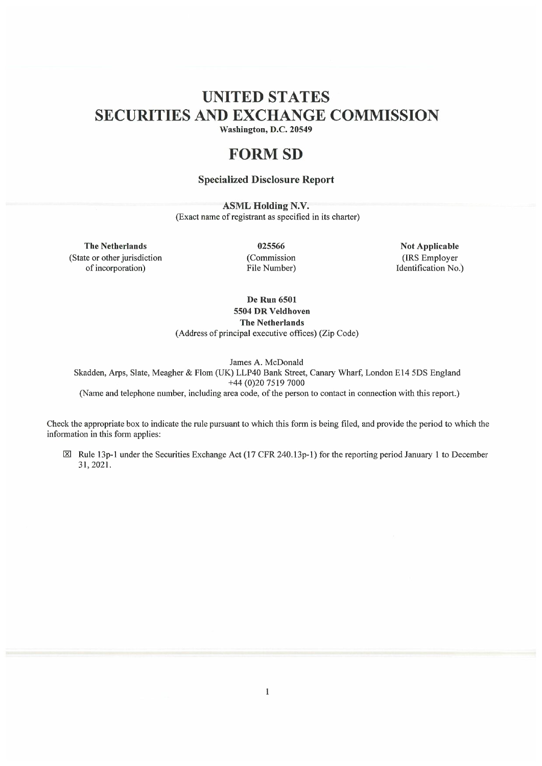# UNITED STATES SECURITIES AND EXCHANGE COMMISSION

Washington, D.C. 20549

## FORM SD

## Specialized Disclosure Report

ASML Holding N.V. (Exact name of registrant as specified in its charter)

The Netherlands (State or other jurisdiction of incorporation)

025566 (Commission File Number)

Not Applicable (IRS Employer Identification No.)

De Run 6501 5504 DR Veldhoven

The Netherlands

(Address of principal executive offices) (Zip Code)

James A. McDonald Skadden, Arps, Slate, Meagher & Flom (UK) LLP40 Bank Street, Canary Wharf, London E14 5DS England

+44 (0)20 7519 7000

(Name and telephone number, including area code, of the person to contact in connection with this report.)

Check the appropriate box to indicate the rule pursuant to which this form is being filed, and provide the period to which the information in this form applies:

 $\boxtimes$  Rule 13p-1 under the Securities Exchange Act (17 CFR 240.13p-1) for the reporting period January 1 to December 31, 2021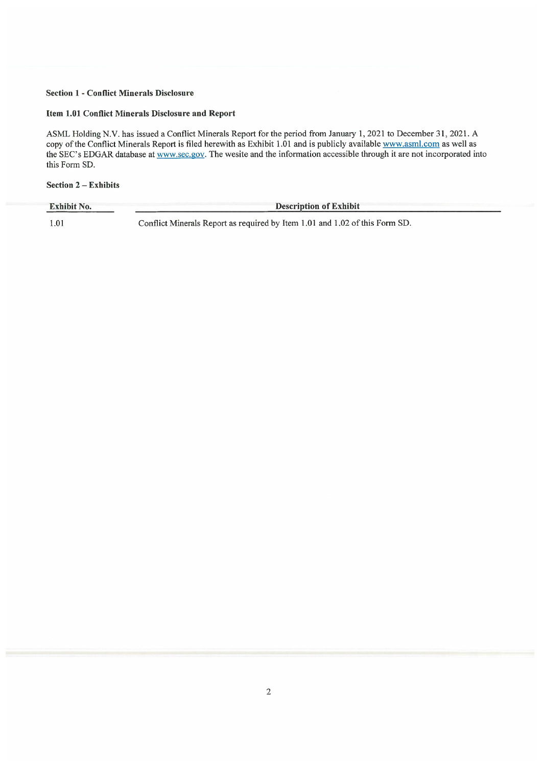## Section 1 - Conflict Minerals Disclosure

## Item 1.01 Conflict Minerals Disclosure and Report

ASML Holding N.V. has issued a Conflict Minerals Report for the period from January 1, 2021 to December 31, 2021. A copy of the Conflict Minerals Report is filed herewith as Exhibit 1.01 and is publicly available www.asml.com as well as the SEC's EDGAR database at www.sec.gov. The wesite and the information accessible through it are not incorporated into this Form SD.

## Section 2 – Exhibits

| <b>Exhibit No.</b> | <b>Description of Exhibit</b>                                               |
|--------------------|-----------------------------------------------------------------------------|
| 1.01               | Conflict Minerals Report as required by Item 1.01 and 1.02 of this Form SD. |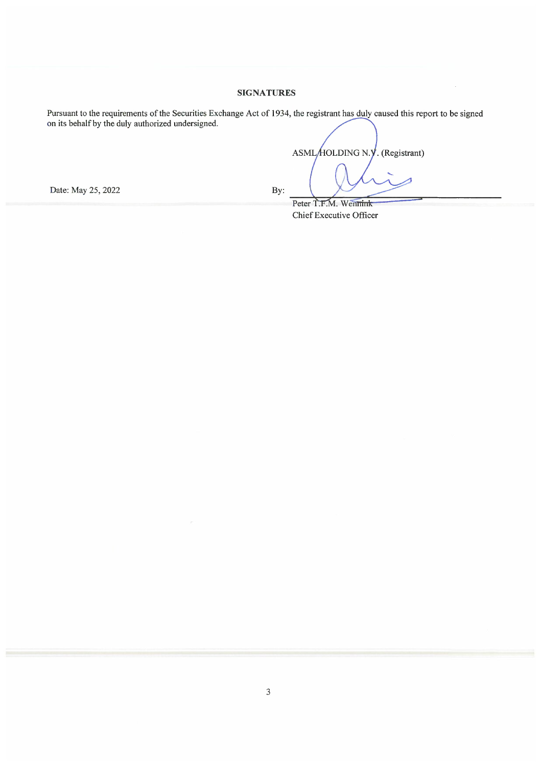## SIGNATURES

Pursuant to the requirements of the Securities Exchange Act of 1934 on its behalf by the duly authorized undersigned. the registrant has duly caused this report to be signed

Date: May 25, 2022 By:

ASML/HOLDING N.Y. (Registrant)  $\ddot{\phantom{0}}$ 

Peter T.F.M. Wennink Chief Executive Officer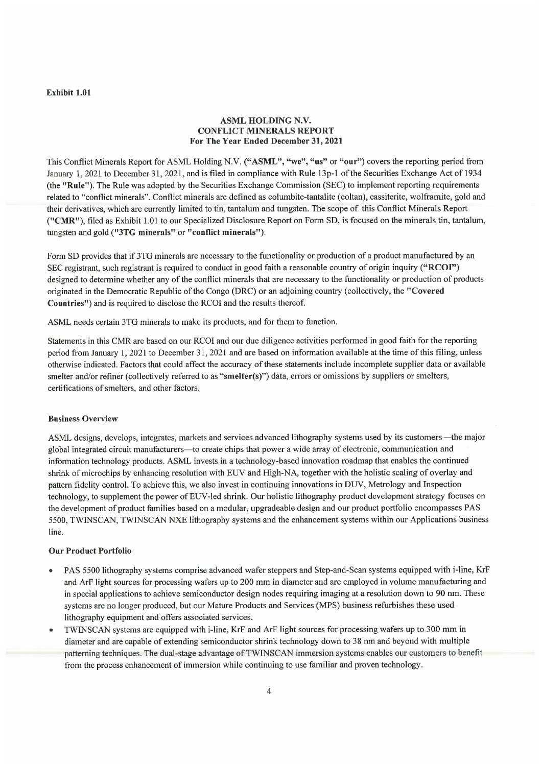#### Exhibit 1.01

## ASML HOLDING N.V. CONFLICT MINERALS REPORT For The Year Ended December 31, 2021

This Conflict Minerals Report for ASML Holding N.V. ("ASML", "we", "us" or "our") covers the reporting period from January 1, 2021 to December 31, 2021, and is filed in compliance with Rule 13p-1 of the Securities Exchange Act of 1934 (the "Rule"). The Rule was adopted by the Securities Exchange Commission (SEC) to implement reporting requirements related to "conflict minerals". Conflict minerals are defined as columbite-tantalite (coltan), cassiterite, wolframite, gold and their derivatives, which are currently limited to tin, tantalum and tungsten. The scope of this Conflict Minerals Report ("CMR"), filed as Exhibit 1.01 to our Specialized Disclosure Report on Form SD, is focused on the minerals tin, tantalum, tungsten and gold ("3TG minerals" or "conflict minerals").

Form SD provides that if 3TG minerals are necessary to the functionality or production of a product manufactured by an SEC registrant, such registrant is required to conduct in good faith a reasonable country of origin inquiry ("RCOI") designed to determine whether any of the conflict minerals that are necessary to the functionality or production of products originated in the Democratic Republic of the Congo (DRC) or an adjoining country (collectively, the 1'Covered Countries") and is required to disclose the RCOI and the results thereof

ASML needs certain 3TG minerals to make its products, and for them to function.

Statements in this CMR are based on our RCOI and our due diligence activities performed in good faith for the reporting period from January 1, 2021 to December 31, 2021 and are based on information available at the time of this filing, unless otherwise indicated. Factors that could affect the accuracy of these statements include incomplete supplier data or available smelter and/or refiner (collectively referred to as "smelter(s)") data, errors or omissions by suppliers or smelters, certifications of smelters, and other factors.

#### Business Overview

ASML designs, develops, integrates, markets and services advanced lithography systems used by its customers–the major global integrated circuit manufacturers–to create chips that power a wide array of electronic, communication and information technology products. ASML invests in a technology-based innovation roadmap that enables the continued shrink of microchips by enhancing resolution with EUV and High-NA, together with the holistic scaling of overlay and pattern fidelity control. To achieve this, we also invest in continuing innovations in DUV, Metrology and Inspection technology, to supplement the power of EUV-led shrink. Our holistic lithography product development strategy focuses on the development of product families based on a modular, upgradeable design and our product portfolio encompasses PAS 5500, TWINSCAN, TWINSCAN NXE lithography systems and the enhancement systems within our Applications business line

## Our Product Portfolio

- PAS 5500 lithography systems comprise advanced wafer steppers and Step-and-Scan systems equipped with i-line, KrF and ArF light sources for processing wafers up to 200 mm in diameter and are employed in volume manufacturing and in special applications to achieve semiconductor design nodes requiring imaging at a resolution down to 90 nm. These systems are no longer produced, but our Mature Products and Services (MPS) business refurbishes these used lithography equipment and offers associated services.
- TWINSCAN systems are equipped with i-line, KrF and ArF light sources for processing wafers up to 300 mm in diameter and are capable of extending semiconductor shrink technology down to 38 nm and beyond with multiple patterning techniques. The dual-stage advantage of TWINSCAN immersion systems enables our customers to benefit from the process enhancement of immersion while continuing to use familiar and proven technology.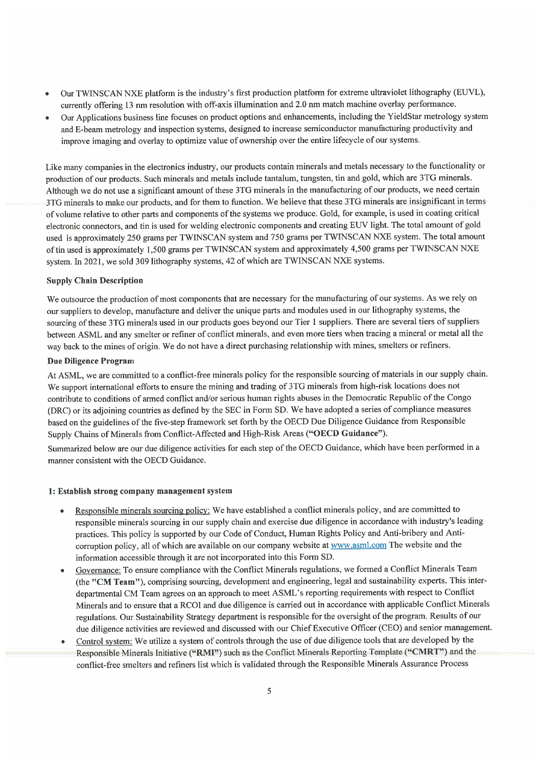- Our TWINSCAN NXE platform is the industry's first production platform for extreme ultraviolet lithography (EUVL), currently offering 13 nm resolution with off-axis illumination and 2.0 nm match machine overlay performance.
- Our Applications business line focuses on product options and enhancements, including the YieldStar metrology system and E-beam metrology and inspection systems, designed to increase semiconductor manufacturing productivity and improve imaging and overlay to optimize value of ownership over the entire lifecycle of our systems.

Like many companies in the electronics industry, our products contain minerals and metals necessary to the functionality or production of our products. Such minerals and metals include tantalum, tungsten, tin and gold, which are 3TG minerals. Although we do not use a significant amount of these 3TG minerals in the manufacturing of our products, we need certain 3TG minerals to make our products, and for them to function. We believe that these 3TG minerals are insignificant in terms of volume relative to other parts and components of the systems we produce. Gold, for example, is used in coating critical electronic connectors, and tin is used for welding electronic components and creating EUV light. The total amount of gold used is approximately 250 grams per TWINSCAN system and 750 grams per TWINSCAN NXE system. The total amount of tin used is approximately 1,500 grams per TWINSCAN system and approximately 4,500 grams per TWINSCAN NXE system. In 2021, we sold 309 lithography systems, 42 of which are TWINSCAN NXE systems.

#### Supply Chain Description

We outsource the production of most components that are necessary for the manufacturing of our systems. As we rely on our suppliers to develop, manufacture and deliver the unique parts and modules used in our lithography systems, the sourcing of these 3TG minerals used in our products goes beyond our Tier 1 suppliers. There are several tiers of suppliers between ASML and any smelter or refiner of conflict minerals, and even more tiers when tracing a mineral or metal all the way back to the mines of origin. We do not have a direct purchasing relationship with mines, smelters or refiners.

#### Due Diligence Program

At ASML, we are committed to a conflict-free minerals policy for the responsible sourcing of materials in our supply chain. We support international efforts to ensure the mining and trading of 3TG minerals from high-risk locations does not contribute to conditions of armed conflict and/or serious human rights abuses in the Democratic Republic of the Congo (DRC) or its adjoining countries as defined by the SEC in Form SD. We have adopted a series of compliance measures based on the guidelines of the five-step framework set forth by the OECD Due Diligence Guidance from Responsible Supply Chains of Minerals from Conflict-Affected and High-Risk Areas ("OECD Guidance").

Summarized below are our due diligence activities for each step of the OECD Guidance, which have been performed in a manner consistent with the OECD Guidance.

#### 1: Establish strong company management system

- Responsible minerals sourcing policy: We have established a conflict minerals policy, and are committed to responsible minerals sourcing in our supply chain and exercise due diligence in accordance with industry's leading practices. This policy is supported by our Code of Conduct, Human Rights Policy and Anti-bribery and Anticorruption policy, all of which are available on our company website at www.asml.com The website and the information accessible through it are not incorporated into this Form SD.
- Governance: To ensure compliance with the Conflict Minerals regulations, we formed a Conflict Minerals Team (the "CM Team"), comprising sourcing, development and engineering, legal and sustainability experts. This interdepartmental CM Team agrees on an approach to meet ASML's reporting requirements with respect to Conflict Minerals and to ensure that a RCOI and due diligence is carried out in accordance with applicable Conflict Minerals regulations. Our Sustainability Strategy department is responsible for the oversight of the program. Results of our due diligence activities are reviewed and discussed with our Chief Executive Officer (CEO) and senior management.
- Control system: We utilize a system of controls through the use of due diligence tools that are developed by the Responsible Minerals Initiative ("RMI") such as the Conflict Minerals Reporting Template ("CMRT") and the conflict-free smelters and refiners list which is validated through the Responsible Minerals Assurance Process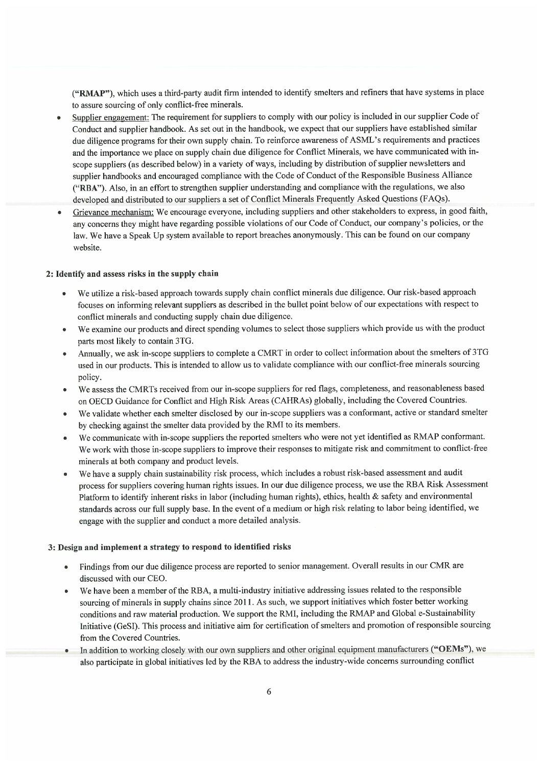("RMAP"), which uses a third-party audit firm intended to identify smelters and refiners that have systems in place to assure sourcing of only conflict-free minerals.

- Supplier engagement: The requirement for suppliers to comply with our policy is included in our supplier Code of Conduct and supplier handbook. As set out in the handbook, we expect that our suppliers have established similar due diligence programs for their own supply chain. To reinforce awareness of ASML's requirements and practices and the importance we place on supply chain due diligence for Conflict Minerals, we have communicated with inscope suppliers (as described below) in a variety of ways, including by distribution of supplier newsletters and supplier handbooks and encouraged compliance with the Code of Conduct of the Responsible Business Alliance ("RBA"). Also, in an effort to strengthen supplier understanding and compliance with the regulations, we also developed and distributed to our suppliers a set of Conflict Minerals Frequently Asked Questions (FAQs).
- Grievance mechanism: We encourage everyone, including suppliers and other stakeholders to express, in good faith, any concerns they might have regarding possible violations of our Code of Conduct, our company's policies, or the law. We have a Speak Up system available to report breaches anonymously. This can be found on our company website

## 2: Identify and assess risks in the supply chain

- We utilize a risk-based approach towards supply chain conflict minerals due diligence. Our risk-based approach focuses on informing relevant suppliers as described in the bullet point below of our expectations with respect to conflict minerals and conducting supply chain due diligence.
- We examine our products and direct spending volumes to select those suppliers which provide us with the product parts most likely to contain 3TG.
- Annually, we ask in-scope suppliers to complete a CMRT in order to collect information about the smelters of 3TG used in our products. This is intended to allow us to validate compliance with our conflict-free minerals sourcing policy
- We assess the CMRTs received from our in-scope suppliers for red flags, completeness, and reasonableness based on OECD Guidance for Conflict and High Risk Areas (CAHRAs) globally, including the Covered Countries.
- We validate whether each smelter disclosed by our in-scope suppliers was a conformant, active or standard smelter by checking against the smelter data provided by the RMI to its members.
- We communicate with in-scope suppliers the reported smelters who were not yet identified as RMAP conformant. We work with those in-scope suppliers to improve their responses to mitigate risk and commitment to conflict-free minerals at both company and product levels.
- We have a supply chain sustainability risk process, which includes a robust risk-based assessment and audit process for suppliers covering human rights issues. In our due diligence process, we use the RBA Risk Assessment Platform to identify inherent risks in labor (including human rights), ethics, health & safety and environmental standards across our full supply base. In the event of a medium or high risk relating to labor being identified, we engage with the supplier and conduct a more detailed analysis.

#### 3: Design and implement a strategy to respond to identified risks

- Findings from our due diligence process are reported to senior management. Overall results in our CMR are discussed with our CEO
- We have been a member of the RBA, a multi-industry initiative addressing issues related to the responsible sourcing of minerals in supply chains since 2011. As such, we support initiatives which foster better working conditions and raw material production. We support the RMI, including the RMAP and Global e-Sustainability Initiative (GeSI). This process and initiative aim for certification of smelters and promotion of responsible sourcing from the Covered Countries
- In addition to working closely with our own suppliers and other original equipment manufacturers ("OEMs"), we also participate in global initiatives led by the RBA to address the industry-wide concerns surrounding conflict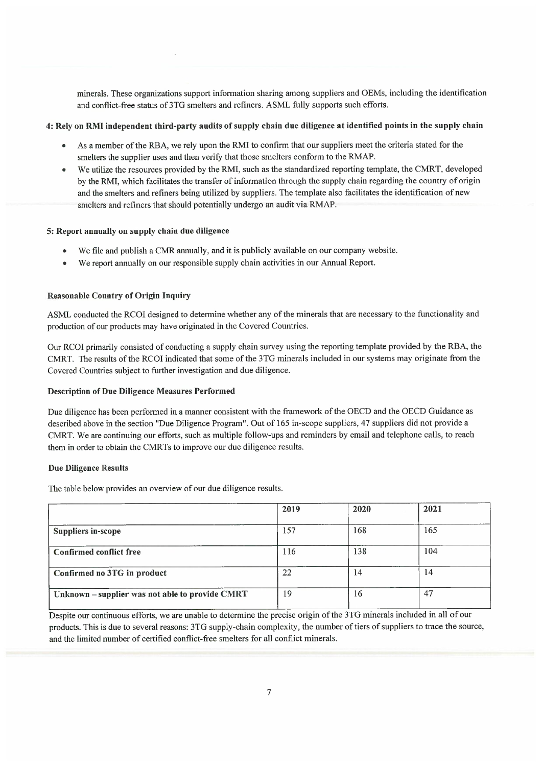minerals. These organizations support information sharing among suppliers and OEMs, including the identification and conflict-free status of 3TG smelters and refiners. ASML fully supports such efforts.

## 4: Rely on RMI independent third-party audits of supply chain due diligence at identified points in the supply chain

- As a member of the RBA, we rely upon the RMI to confirm that our suppliers meet the criteria stated for the smelters the supplier uses and then verify that those smelters conform to the RMAP.
- We utilize the resources provided by the RMI, such as the standardized reporting template, the CMRT, developed by the RMI, which facilitates the transfer of information through the supply chain regarding the country of origin and the smelters and refiners being utilized by suppliers. The template also facilitates the identification of new smelters and refiners that should potentially undergo an audit via RMAP.

## 5: Report annually on supply chain due diligence

- We file and publish a CMR annually, and it is publicly available on our company website.
- We report annually on our responsible supply chain activities in our Annual Report.

## Reasonable Country of Origin Inquiry

ASML conducted the RCOI designed to determine whether any of the minerals that are necessary to the functionality and production of our products may have originated in the Covered Countries.

Our RCOI primarily consisted of conducting a supply chain survey using the reporting template provided by the RBA, the CMRT. The results of the RCOI indicated that some of the 3TG minerals included in our systems may originate from the Covered Countries subject to further investigation and due diligence.

#### Description of Due Diligence Measures Performed

Due diligence has been performed in a manner consistent with the framework of the OECD and the OECD Guidance as described above in the section "Due Diligence Program". Out of 165 in-scope suppliers, 47 suppliers did not provide a CMRT. We are continuing our efforts, such as multiple follow-ups and reminders by email and telephone calls, to reach them in order to obtain the CMRTs to improve our due diligence results.

## Due Diligence Results

The table below provides an overview of our due diligence results.

|                                                 | 2019 | 2020 | 2021 |
|-------------------------------------------------|------|------|------|
| <b>Suppliers in-scope</b>                       | 157  | 168  | 165  |
| Confirmed conflict free                         | 116  | 138  | 104  |
| Confirmed no 3TG in product                     | 22   | 14   | 14   |
| Unknown - supplier was not able to provide CMRT | 19   | 16   | 47   |

Despite our continuous efforts, we are unable to determine the precise origin of the 3TG minerals included in all of our products. This is due to several reasons: 3TG supply-chain complexity, the number of tiers of suppliers to trace the source, and the limited number of certified conflict-free smelters for all conflict minerals.